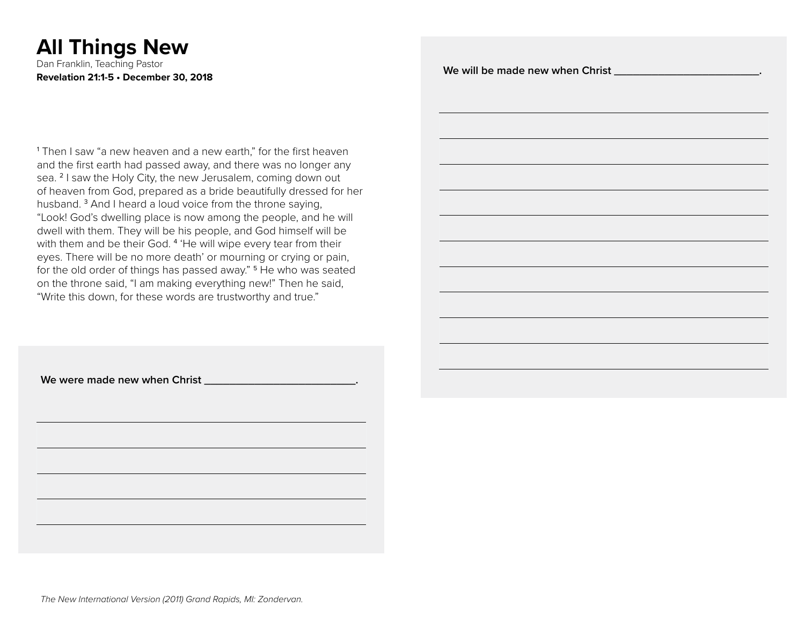# **All Things New**

Dan Franklin, Teaching Pastor **Revelation 21:1-5 • December 30, 2018**

1 Then I saw "a new heaven and a new earth," for the first heaven and the first earth had passed away, and there was no longer any sea. <sup>2</sup> I saw the Holy City, the new Jerusalem, coming down out of heaven from God, prepared as a bride beautifully dressed for her husband.<sup>3</sup> And I heard a loud voice from the throne saying, "Look! God's dwelling place is now among the people, and he will dwell with them. They will be his people, and God himself will be with them and be their God.<sup>4</sup> 'He will wipe every tear from their eyes. There will be no more death' or mourning or crying or pain, for the old order of things has passed away." <sup>5</sup> He who was seated on the throne said, "I am making everything new!" Then he said, "Write this down, for these words are trustworthy and true."

We will be made new when Christ \_\_\_\_\_\_